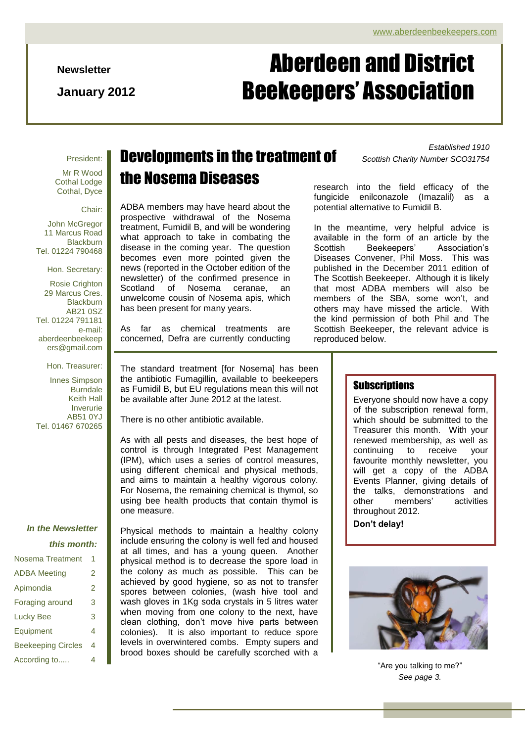**Newsletter**

**January 2012**

# Aberdeen and District Beekeepers' Association

#### President:

Mr R Wood Cothal Lodge Cothal, Dyce

Chair:

John McGregor 11 Marcus Road **Blackburn** Tel. 01224 790468

Hon. Secretary:

Rosie Crighton 29 Marcus Cres. Blackburn AB21 0SZ Tel. 01224 791181 e-mail: aberdeenbeekeep ers@gmail.com

Hon. Treasurer:

Innes Simpson **Burndale** Keith Hall Inverurie AB51 0YJ Tel. 01467 670265

#### *In the Newsletter*

#### *this month:*

| Nosema Treatment          |   |
|---------------------------|---|
| <b>ADBA</b> Meeting       | 2 |
| Apimondia                 | 2 |
| Foraging around           | 3 |
| Lucky Bee                 | 3 |
| Equipment                 | 4 |
| <b>Beekeeping Circles</b> | 4 |
| According to              | 4 |

# *Established <sup>1910</sup>* Developments in the treatment of *Scottish Charity Number SCO31754* the Nosema Diseases

ADBA members may have heard about the prospective withdrawal of the Nosema treatment, Fumidil B, and will be wondering what approach to take in combating the disease in the coming year. The question becomes even more pointed given the news (reported in the October edition of the newsletter) of the confirmed presence in Scotland of Nosema ceranae, an unwelcome cousin of Nosema apis, which has been present for many years.

As far as chemical treatments are concerned, Defra are currently conducting

The standard treatment [for Nosema] has been the antibiotic Fumagillin, available to beekeepers as Fumidil B, but EU regulations mean this will not be available after June 2012 at the latest.

There is no other antibiotic available.

As with all pests and diseases, the best hope of control is through Integrated Pest Management (IPM), which uses a series of control measures, using different chemical and physical methods, and aims to maintain a healthy vigorous colony. For Nosema, the remaining chemical is thymol, so using bee health products that contain thymol is one measure.

Physical methods to maintain a healthy colony include ensuring the colony is well fed and housed at all times, and has a young queen. Another physical method is to decrease the spore load in the colony as much as possible. This can be achieved by good hygiene, so as not to transfer spores between colonies, (wash hive tool and wash gloves in 1Kg soda crystals in 5 litres water when moving from one colony to the next, have clean clothing, don"t move hive parts between colonies). It is also important to reduce spore levels in overwintered combs. Empty supers and brood boxes should be carefully scorched with a

research into the field efficacy of the fungicide enilconazole (Imazalil) as a potential alternative to Fumidil B.

In the meantime, very helpful advice is available in the form of an article by the Beekeepers' Diseases Convener, Phil Moss. This was published in the December 2011 edition of The Scottish Beekeeper. Although it is likely that most ADBA members will also be members of the SBA, some won't, and others may have missed the article. With the kind permission of both Phil and The Scottish Beekeeper, the relevant advice is reproduced below.

#### **Subscriptions**

Everyone should now have a copy of the subscription renewal form, which should be submitted to the Treasurer this month. With your renewed membership, as well as continuing to receive your favourite monthly newsletter, you will get a copy of the ADBA Events Planner, giving details of the talks, demonstrations and<br>other members' activities members' throughout 2012.

**Don't delay!**



"Are you talking to me?" *See page 3.*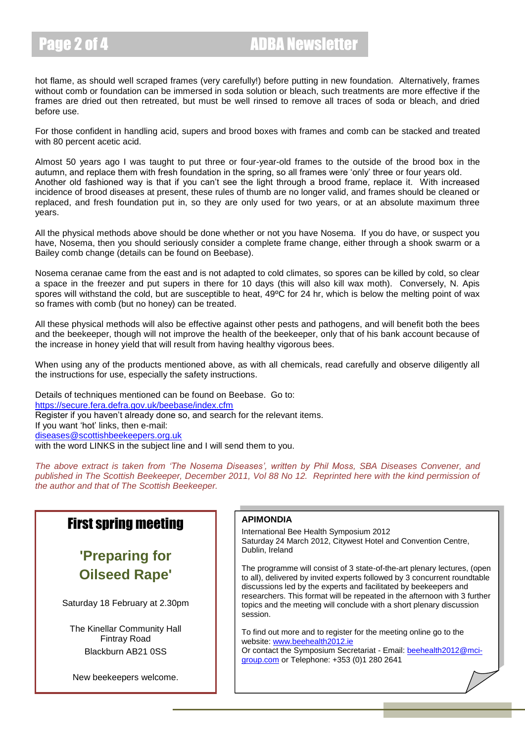hot flame, as should well scraped frames (very carefully!) before putting in new foundation. Alternatively, frames without comb or foundation can be immersed in soda solution or bleach, such treatments are more effective if the frames are dried out then retreated, but must be well rinsed to remove all traces of soda or bleach, and dried before use.

For those confident in handling acid, supers and brood boxes with frames and comb can be stacked and treated with 80 percent acetic acid.

Almost 50 years ago I was taught to put three or four-year-old frames to the outside of the brood box in the autumn, and replace them with fresh foundation in the spring, so all frames were "only" three or four years old. Another old fashioned way is that if you can"t see the light through a brood frame, replace it. With increased incidence of brood diseases at present, these rules of thumb are no longer valid, and frames should be cleaned or replaced, and fresh foundation put in, so they are only used for two years, or at an absolute maximum three years.

All the physical methods above should be done whether or not you have Nosema. If you do have, or suspect you have, Nosema, then you should seriously consider a complete frame change, either through a shook swarm or a Bailey comb change (details can be found on Beebase).

Nosema ceranae came from the east and is not adapted to cold climates, so spores can be killed by cold, so clear a space in the freezer and put supers in there for 10 days (this will also kill wax moth). Conversely, N. Apis spores will withstand the cold, but are susceptible to heat, 49ºC for 24 hr, which is below the melting point of wax so frames with comb (but no honey) can be treated.

All these physical methods will also be effective against other pests and pathogens, and will benefit both the bees and the beekeeper, though will not improve the health of the beekeeper, only that of his bank account because of the increase in honey yield that will result from having healthy vigorous bees.

When using any of the products mentioned above, as with all chemicals, read carefully and observe diligently all the instructions for use, especially the safety instructions.

Details of techniques mentioned can be found on Beebase. Go to: <https://secure.fera.defra.gov.uk/beebase/index.cfm> Register if you haven"t already done so, and search for the relevant items. If you want "hot" links, then e-mail: [diseases@scottishbeekeepers.org.uk](mailto:diseases@scottishbeekeepers.org.uk) with the word LINKS in the subject line and I will send them to you.

*The above extract is taken from 'The Nosema Diseases', written by Phil Moss, SBA Diseases Convener, and published in The Scottish Beekeeper, December 2011, Vol 88 No 12. Reprinted here with the kind permission of the author and that of The Scottish Beekeeper.*

### First spring meeting

### **'Preparing for Oilseed Rape'**

Saturday 18 February at 2.30pm

The Kinellar Community Hall Fintray Road Blackburn AB21 0SS

New beekeepers welcome.

#### **APIMONDIA**

International Bee Health Symposium 2012 Saturday 24 March 2012, Citywest Hotel and Convention Centre, Dublin, Ireland

The programme will consist of 3 state-of-the-art plenary lectures, (open to all), delivered by invited experts followed by 3 concurrent roundtable discussions led by the experts and facilitated by beekeepers and researchers. This format will be repeated in the afternoon with 3 further topics and the meeting will conclude with a short plenary discussion session.

To find out more and to register for the meeting online go to the website[: www.beehealth2012.ie](http://ch1-marketing.mci-group.com/t/40633/16904411/8574/0/) Or contact the Symposium Secretariat - Email[: beehealth2012@mci-](mailto:beehealth2012@mci-group.com)

[group.com](mailto:beehealth2012@mci-group.com) or Telephone: +353 (0)1 280 2641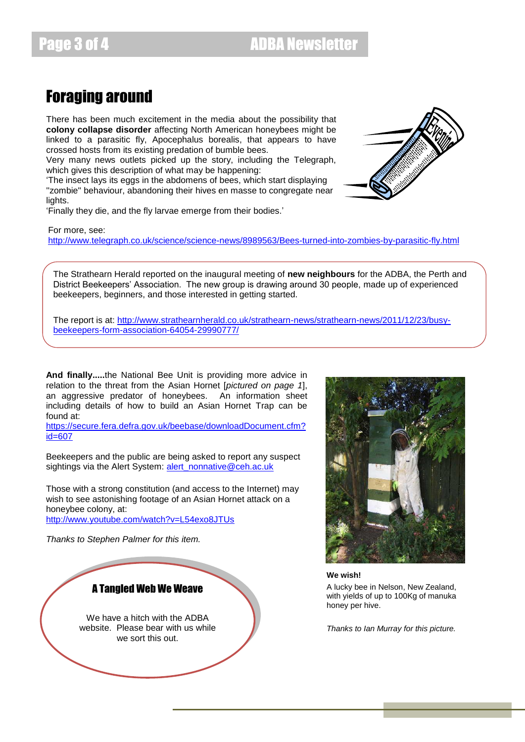Page 3 of 4 **ADBA Newsletter** 

## Foraging around

There has been much excitement in the media about the possibility that **colony collapse disorder** affecting North American honeybees might be linked to a parasitic fly, Apocephalus borealis, that appears to have crossed hosts from its existing predation of bumble bees.

Very many news outlets picked up the story, including the Telegraph, which gives this description of what may be happening:

"The insect lays its eggs in the abdomens of bees, which start displaying ''zombie'' behaviour, abandoning their hives en masse to congregate near lights.

"Finally they die, and the fly larvae emerge from their bodies."

For more, see: <http://www.telegraph.co.uk/science/science-news/8989563/Bees-turned-into-zombies-by-parasitic-fly.html>

The Strathearn Herald reported on the inaugural meeting of **new neighbours** for the ADBA, the Perth and District Beekeepers" Association. The new group is drawing around 30 people, made up of experienced beekeepers, beginners, and those interested in getting started.

The report is at: [http://www.strathearnherald.co.uk/strathearn-news/strathearn-news/2011/12/23/busy](http://www.strathearnherald.co.uk/strathearn-news/strathearn-news/2011/12/23/busy-beekeepers-form-association-64054-29990777/)[beekeepers-form-association-64054-29990777/](http://www.strathearnherald.co.uk/strathearn-news/strathearn-news/2011/12/23/busy-beekeepers-form-association-64054-29990777/)

**And finally.....**the National Bee Unit is providing more advice in relation to the threat from the Asian Hornet [*pictured on page 1*], an aggressive predator of honeybees. An information sheet including details of how to build an Asian Hornet Trap can be found at:

[https://secure.fera.defra.gov.uk/beebase/downloadDocument.cfm?](https://secure.fera.defra.gov.uk/beebase/downloadDocument.cfm?id=607) [id=607](https://secure.fera.defra.gov.uk/beebase/downloadDocument.cfm?id=607)

Beekeepers and the public are being asked to report any suspect sightings via the Alert System: [alert\\_nonnative@ceh.ac.uk](mailto:alert_nonnative@ceh.ac.uk)

Those with a strong constitution (and access to the Internet) may wish to see astonishing footage of an Asian Hornet attack on a honeybee colony, at:

<http://www.youtube.com/watch?v=L54exo8JTUs>

*Thanks to Stephen Palmer for this item.*

#### A Tangled Web We Weave

We have a hitch with the ADBA website. Please bear with us while we sort this out.



**We wish!**

A lucky bee in Nelson, New Zealand, with yields of up to 100Kg of manuka honey per hive.

*Thanks to Ian Murray for this picture.*